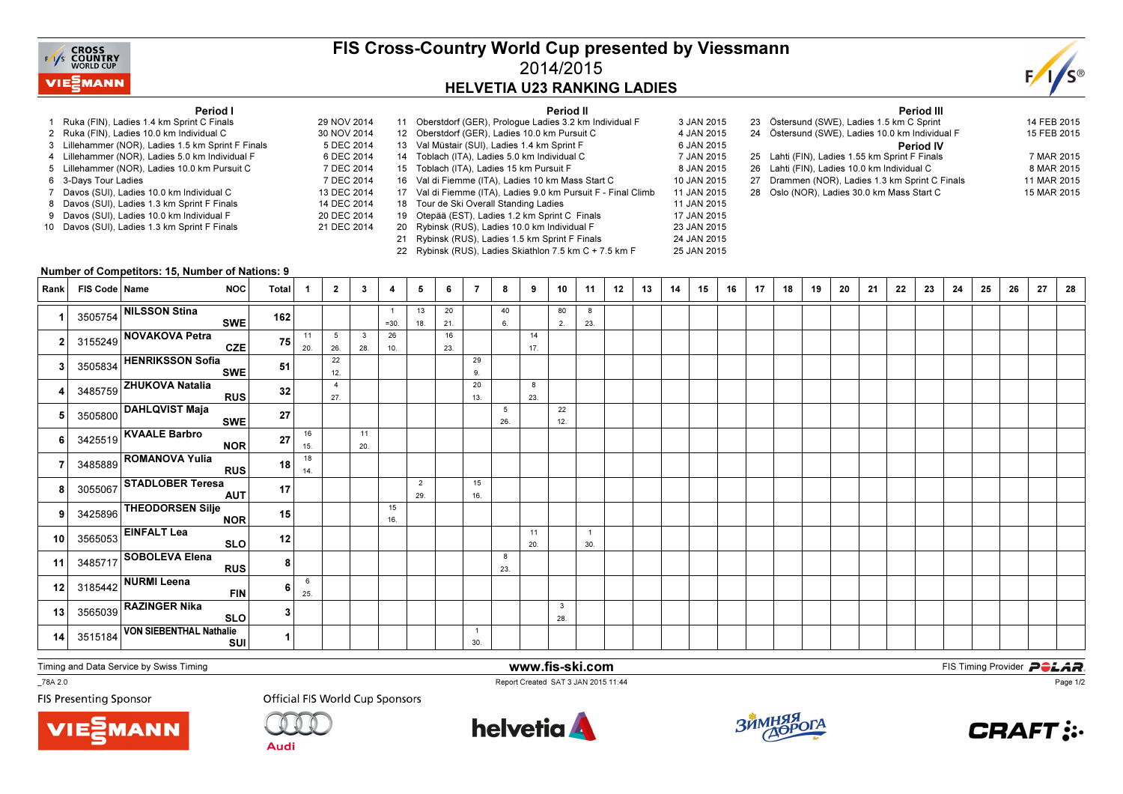

## FIS Cross-Country World Cup presented by Viessmann2014/2015HELVETIA U23 RANKING LADIES

Period II

3 JAN 2015



## Period I

- 1 Ruka (FIN), Ladies 1.4 km Sprint C Finals 29 NOV 20142 Ruka (FIN), Ladies 10.0 km Individual C
- 3 Lillehammer (NOR), Ladies 1.5 km Sprint F Finals
- 4 Lillehammer (NOR), Ladies 5.0 km Individual F
- 5 Lillehammer (NOR), Ladies 10.0 km Pursuit C
- s 7 DEC 2014 6 3-Days Tour Ladies
- 7 Davos (SUI), Ladies 10.0 km Individual C
- 8 Davos (SUI), Ladies 1.3 km Sprint F Finals
- 9 Davos (SUI), Ladies 10.0 km Individual F 10 Davos (SUI), Ladies 1.3 km Sprint F Finals

| 29 NOV 2014 |    | 11 Oberstdorf (GER), Prologue Ladies 3.2 km Individual F      | 3 JAN 2015  |
|-------------|----|---------------------------------------------------------------|-------------|
| 30 NOV 2014 |    | 12 Oberstdorf (GER), Ladies 10.0 km Pursuit C                 | 4 JAN 2015  |
| 5 DEC 2014  |    | 13 Val Müstair (SUI), Ladies 1.4 km Sprint F                  | 6 JAN 2015  |
| 6 DEC 2014  |    | 14 Toblach (ITA), Ladies 5.0 km Individual C                  | 7 JAN 2015  |
| 7 DEC 2014  |    | 15 Toblach (ITA), Ladies 15 km Pursuit F                      | 8 JAN 2015  |
| 7 DEC 2014  |    | 16 Val di Fiemme (ITA), Ladies 10 km Mass Start C             | 10 JAN 2015 |
| 13 DEC 2014 |    | 17 Val di Fiemme (ITA), Ladies 9.0 km Pursuit F - Final Climb | 11 JAN 2015 |
| 14 DEC 2014 |    | 18 Tour de Ski Overall Standing Ladies                        | 11 JAN 2015 |
| 20 DEC 2014 |    | 19 Otepää (EST), Ladies 1.2 km Sprint C Finals                | 17 JAN 2015 |
| 21 DEC 2014 |    | 20 Rybinsk (RUS), Ladies 10.0 km Individual F                 | 23 JAN 2015 |
|             | 21 | Rybinsk (RUS), Ladies 1.5 km Sprint F Finals                  | 24 JAN 2015 |
|             |    | 22 Rybinsk (RUS), Ladies Skiathlon 7.5 km C + 7.5 km F        | 25 JAN 2015 |

Period III23 Östersund (SWE), Ladies 1.5 km C Sprint 14 FEB 2015 15 FEB 2015 24 Östersund (SWE), Ladies 10.0 km Individual F Period IV 25 Lahti (FIN), Ladies 1.55 km Sprint F Finals 7 MAR 20158 MAR 2015 26 Lahti (FIN), Ladies 10.0 km Individual C 11 MAR 2015 27 Drammen (NOR), Ladies 1.3 km Sprint C Finals 15 MAR 2015 28 Oslo (NOR), Ladies 30.0 km Mass Start C

## Number of Competitors: 15, Number of Nations: 9

| Rank            | FIS Code   Name | <b>NOC</b>                             | Total          | $\mathbf{1}$ | $\overline{2}$         | $\mathbf{3}$ | 4         | 5                     | 6         | 7                     | 8        | 9         | 10                  | 11                    | 12 | 13 | 14 | 15 | 16 | 17 | 18 | 19 | 20 | 21 | 22 | 23 | 24 | 25 | 26 | 27 | 28 |
|-----------------|-----------------|----------------------------------------|----------------|--------------|------------------------|--------------|-----------|-----------------------|-----------|-----------------------|----------|-----------|---------------------|-----------------------|----|----|----|----|----|----|----|----|----|----|----|----|----|----|----|----|----|
|                 |                 | 3505754 NILSSON Stina<br>SWE           | 162            |              |                        |              | $=30.$    | 13<br>18.             | 20<br>21. |                       | 40<br>6. |           | 80<br>2.            | 8<br>23.              |    |    |    |    |    |    |    |    |    |    |    |    |    |    |    |    |    |
|                 |                 | 3155249 NOVAKOVA Petra<br>CZE          | 75             | 11<br>20.    | $5\overline{5}$<br>26. | 3<br>28.     | 26<br>10. |                       | 16<br>23. |                       |          | 14<br>17. |                     |                       |    |    |    |    |    |    |    |    |    |    |    |    |    |    |    |    |    |
|                 |                 | 3505834 HENRIKSSON Sofia<br>SWE        | 51             |              | 22<br>12.              |              |           |                       |           | 29<br>9.              |          |           |                     |                       |    |    |    |    |    |    |    |    |    |    |    |    |    |    |    |    |    |
|                 |                 | 3485759 ZHUKOVA Natalia<br>RUS         | 32             |              | $\overline{4}$<br>27.  |              |           |                       |           | 20<br>13.             |          | 8<br>23.  |                     |                       |    |    |    |    |    |    |    |    |    |    |    |    |    |    |    |    |    |
|                 |                 | 3505800 DAHLQVIST Maja<br>SWE          | 27             |              |                        |              |           |                       |           |                       | 5<br>26. |           | 22<br>12.           |                       |    |    |    |    |    |    |    |    |    |    |    |    |    |    |    |    |    |
|                 |                 | 3425519 KVAALE Barbro<br>NOR           | 27             | 16<br>15.    |                        | 11<br>20.    |           |                       |           |                       |          |           |                     |                       |    |    |    |    |    |    |    |    |    |    |    |    |    |    |    |    |    |
|                 |                 | 3485889 ROMANOVA Yulia<br>RUS          | 18             | 18<br>14.    |                        |              |           |                       |           |                       |          |           |                     |                       |    |    |    |    |    |    |    |    |    |    |    |    |    |    |    |    |    |
|                 |                 | 3055067 STADLOBER Teresa<br>AUT        | 17             |              |                        |              |           | $\overline{2}$<br>29. |           | 15<br>16.             |          |           |                     |                       |    |    |    |    |    |    |    |    |    |    |    |    |    |    |    |    |    |
|                 |                 | 3425896 THEODORSEN Silje<br><b>NOR</b> | 15             |              |                        |              | 15<br>16. |                       |           |                       |          |           |                     |                       |    |    |    |    |    |    |    |    |    |    |    |    |    |    |    |    |    |
| 10 <sup>1</sup> |                 | $3565053$ EINFALT Lea<br>SLO           | 12             |              |                        |              |           |                       |           |                       |          | 11<br>20. |                     | $\overline{1}$<br>30. |    |    |    |    |    |    |    |    |    |    |    |    |    |    |    |    |    |
| 11              |                 | 3485717 SOBOLEVA Elena<br>RUS          | 8 <sub>1</sub> |              |                        |              |           |                       |           |                       | 8<br>23. |           |                     |                       |    |    |    |    |    |    |    |    |    |    |    |    |    |    |    |    |    |
| 12              |                 | $3185442$ NURMI Leena<br><b>FIN</b>    |                | 6<br>25.     |                        |              |           |                       |           |                       |          |           |                     |                       |    |    |    |    |    |    |    |    |    |    |    |    |    |    |    |    |    |
| 13              |                 | 3565039 RAZINGER Nika<br>SLO           | 3              |              |                        |              |           |                       |           |                       |          |           | $\mathbf{3}$<br>28. |                       |    |    |    |    |    |    |    |    |    |    |    |    |    |    |    |    |    |
| 14              |                 | 3515184 VON SIEBENTHAL Nathalie<br>SUI |                |              |                        |              |           |                       |           | $\overline{1}$<br>30. |          |           |                     |                       |    |    |    |    |    |    |    |    |    |    |    |    |    |    |    |    |    |

Timing and Data Service by Swiss Timing



 www.fis-ski.comReport Created SAT 3 JAN 2015 11:44

**m**<br>FIS Timing Provider<br>F<sup>11:44</sup>

\_78A 2.0

**FIS Presenting Sponsor** 





**Audi** 







Page 1/2